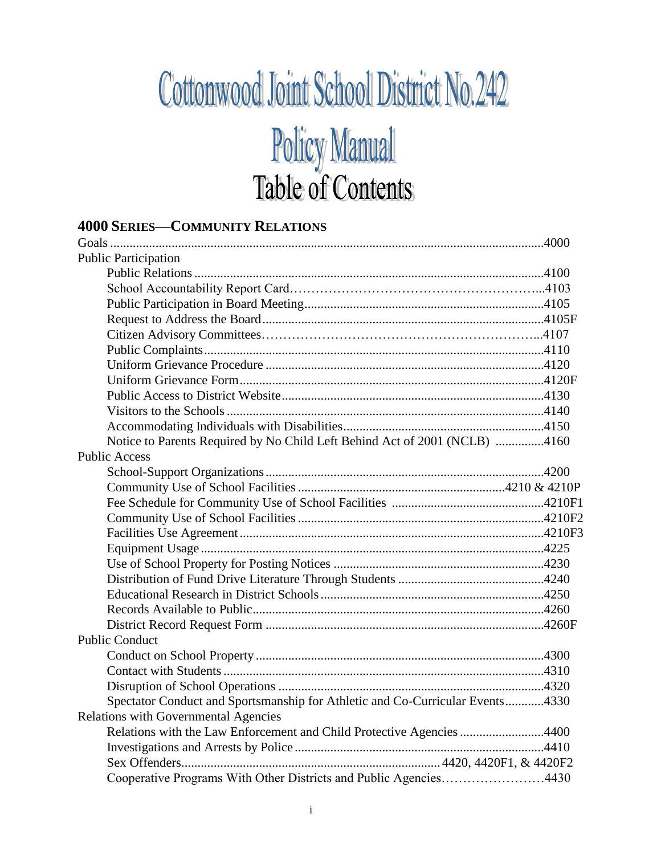## Cottonwood Joint School District No. 242 **Policy Manual**<br>Table of Contents

## **4000 SERIES-COMMUNITY RELATIONS**

| <b>Public Participation</b>                                                   |  |
|-------------------------------------------------------------------------------|--|
|                                                                               |  |
|                                                                               |  |
|                                                                               |  |
|                                                                               |  |
|                                                                               |  |
|                                                                               |  |
|                                                                               |  |
|                                                                               |  |
|                                                                               |  |
|                                                                               |  |
|                                                                               |  |
| Notice to Parents Required by No Child Left Behind Act of 2001 (NCLB) 4160    |  |
| <b>Public Access</b>                                                          |  |
|                                                                               |  |
|                                                                               |  |
|                                                                               |  |
|                                                                               |  |
|                                                                               |  |
|                                                                               |  |
|                                                                               |  |
|                                                                               |  |
|                                                                               |  |
|                                                                               |  |
|                                                                               |  |
| <b>Public Conduct</b>                                                         |  |
|                                                                               |  |
|                                                                               |  |
|                                                                               |  |
| Spectator Conduct and Sportsmanship for Athletic and Co-Curricular Events4330 |  |
| <b>Relations with Governmental Agencies</b>                                   |  |
| Relations with the Law Enforcement and Child Protective Agencies 4400         |  |
|                                                                               |  |
|                                                                               |  |
| Cooperative Programs With Other Districts and Public Agencies4430             |  |